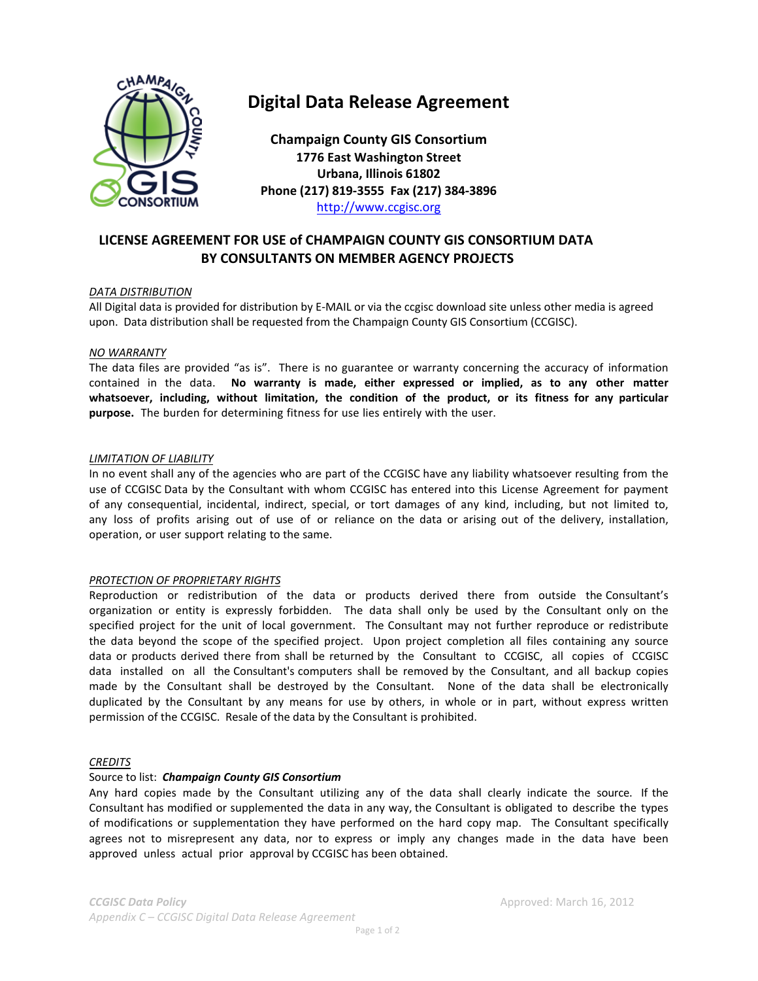

# **Digital Data Release Agreement**

**Champaign County GIS Consortium 1776 East Washington Street Urbana, Illinois 61802 Phone (217) 819-3555 Fax (217) 384-3896** http://www.ccgisc.org

# **LICENSE AGREEMENT FOR USE of CHAMPAIGN COUNTY GIS CONSORTIUM DATA BY CONSULTANTS ON MEMBER AGENCY PROJECTS**

#### *DATA DISTRIBUTION*

All Digital data is provided for distribution by E-MAIL or via the ccgisc download site unless other media is agreed upon. Data distribution shall be requested from the Champaign County GIS Consortium (CCGISC).

#### *NO WARRANTY*

The data files are provided "as is". There is no guarantee or warranty concerning the accuracy of information contained in the data. **No warranty is made, either expressed or implied, as to any other matter whatsoever, including, without limitation, the condition of the product, or its fitness for any particular purpose.** The burden for determining fitness for use lies entirely with the user.

#### *LIMITATION OF LIABILITY*

In no event shall any of the agencies who are part of the CCGISC have any liability whatsoever resulting from the use of CCGISC Data by the Consultant with whom CCGISC has entered into this License Agreement for payment of any consequential, incidental, indirect, special, or tort damages of any kind, including, but not limited to, any loss of profits arising out of use of or reliance on the data or arising out of the delivery, installation, operation, or user support relating to the same.

## *PROTECTION OF PROPRIETARY RIGHTS*

Reproduction or redistribution of the data or products derived there from outside the Consultant's organization or entity is expressly forbidden. The data shall only be used by the Consultant only on the specified project for the unit of local government. The Consultant may not further reproduce or redistribute the data beyond the scope of the specified project. Upon project completion all files containing any source data or products derived there from shall be returned by the Consultant to CCGISC, all copies of CCGISC data installed on all the Consultant's computers shall be removed by the Consultant, and all backup copies made by the Consultant shall be destroyed by the Consultant. None of the data shall be electronically duplicated by the Consultant by any means for use by others, in whole or in part, without express written permission of the CCGISC. Resale of the data by the Consultant is prohibited.

#### *CREDITS*

## Source to list: *Champaign County GIS Consortium*

Any hard copies made by the Consultant utilizing any of the data shall clearly indicate the source. If the Consultant has modified or supplemented the data in any way, the Consultant is obligated to describe the types of modifications or supplementation they have performed on the hard copy map. The Consultant specifically agrees not to misrepresent any data, nor to express or imply any changes made in the data have been approved unless actual prior approval by CCGISC has been obtained.